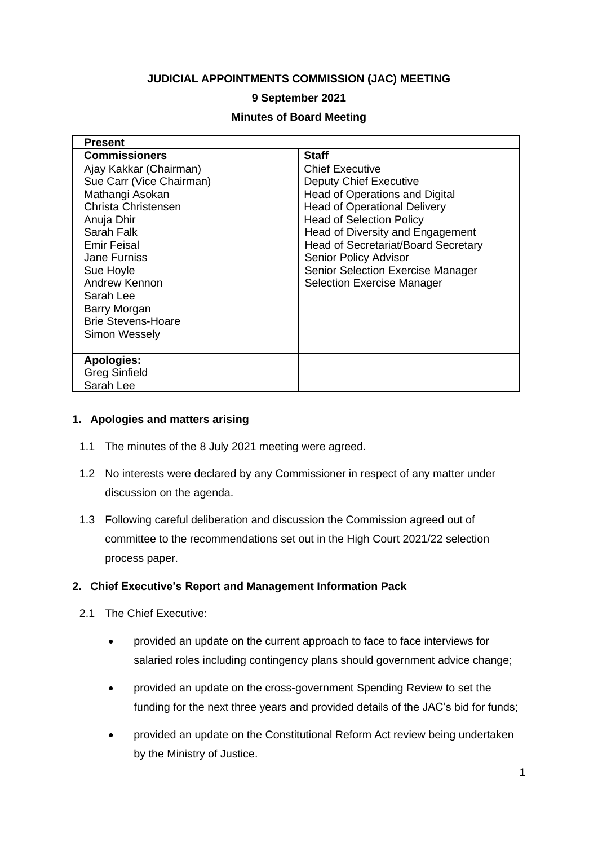### **JUDICIAL APPOINTMENTS COMMISSION (JAC) MEETING**

## **9 September 2021**

#### **Minutes of Board Meeting**

| <b>Present</b>            |                                            |
|---------------------------|--------------------------------------------|
| <b>Commissioners</b>      | <b>Staff</b>                               |
| Ajay Kakkar (Chairman)    | <b>Chief Executive</b>                     |
| Sue Carr (Vice Chairman)  | <b>Deputy Chief Executive</b>              |
| Mathangi Asokan           | <b>Head of Operations and Digital</b>      |
| Christa Christensen       | <b>Head of Operational Delivery</b>        |
| Anuja Dhir                | <b>Head of Selection Policy</b>            |
| Sarah Falk                | Head of Diversity and Engagement           |
| <b>Emir Feisal</b>        | <b>Head of Secretariat/Board Secretary</b> |
| <b>Jane Furniss</b>       | <b>Senior Policy Advisor</b>               |
| Sue Hoyle                 | <b>Senior Selection Exercise Manager</b>   |
| Andrew Kennon             | <b>Selection Exercise Manager</b>          |
| Sarah Lee                 |                                            |
| Barry Morgan              |                                            |
| <b>Brie Stevens-Hoare</b> |                                            |
| Simon Wessely             |                                            |
|                           |                                            |
| <b>Apologies:</b>         |                                            |
| <b>Greg Sinfield</b>      |                                            |
| Sarah Lee                 |                                            |

#### **1. Apologies and matters arising**

- 1.1 The minutes of the 8 July 2021 meeting were agreed.
- 1.2 No interests were declared by any Commissioner in respect of any matter under discussion on the agenda.
- 1.3 Following careful deliberation and discussion the Commission agreed out of committee to the recommendations set out in the High Court 2021/22 selection process paper.

#### **2. Chief Executive's Report and Management Information Pack**

- 2.1 The Chief Executive:
	- provided an update on the current approach to face to face interviews for salaried roles including contingency plans should government advice change;
	- provided an update on the cross-government Spending Review to set the funding for the next three years and provided details of the JAC's bid for funds;
	- provided an update on the Constitutional Reform Act review being undertaken by the Ministry of Justice.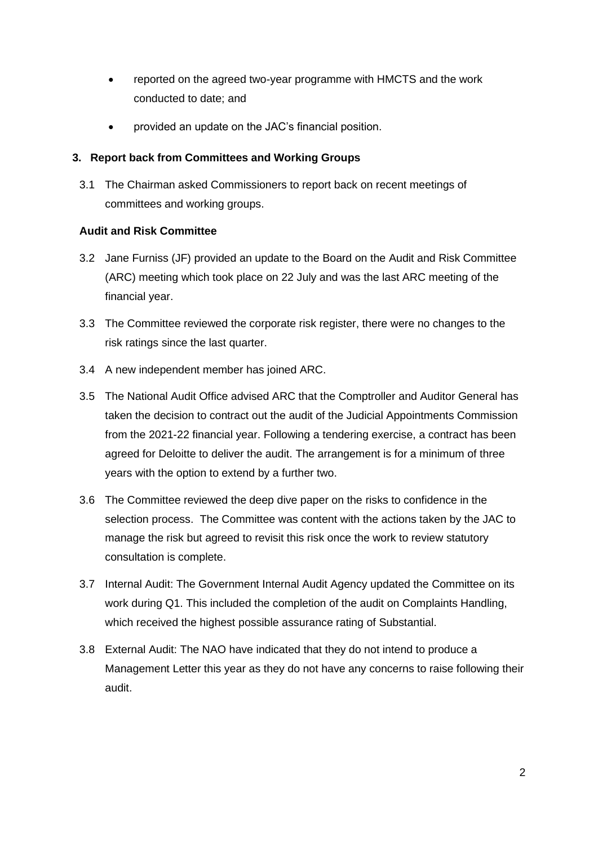- reported on the agreed two-year programme with HMCTS and the work conducted to date; and
- provided an update on the JAC's financial position.

## **3. Report back from Committees and Working Groups**

3.1 The Chairman asked Commissioners to report back on recent meetings of committees and working groups.

## **Audit and Risk Committee**

- 3.2 Jane Furniss (JF) provided an update to the Board on the Audit and Risk Committee (ARC) meeting which took place on 22 July and was the last ARC meeting of the financial year.
- 3.3 The Committee reviewed the corporate risk register, there were no changes to the risk ratings since the last quarter.
- 3.4 A new independent member has joined ARC.
- 3.5 The National Audit Office advised ARC that the Comptroller and Auditor General has taken the decision to contract out the audit of the Judicial Appointments Commission from the 2021-22 financial year. Following a tendering exercise, a contract has been agreed for Deloitte to deliver the audit. The arrangement is for a minimum of three years with the option to extend by a further two.
- 3.6 The Committee reviewed the deep dive paper on the risks to confidence in the selection process. The Committee was content with the actions taken by the JAC to manage the risk but agreed to revisit this risk once the work to review statutory consultation is complete.
- 3.7 Internal Audit: The Government Internal Audit Agency updated the Committee on its work during Q1. This included the completion of the audit on Complaints Handling, which received the highest possible assurance rating of Substantial.
- 3.8 External Audit: The NAO have indicated that they do not intend to produce a Management Letter this year as they do not have any concerns to raise following their audit.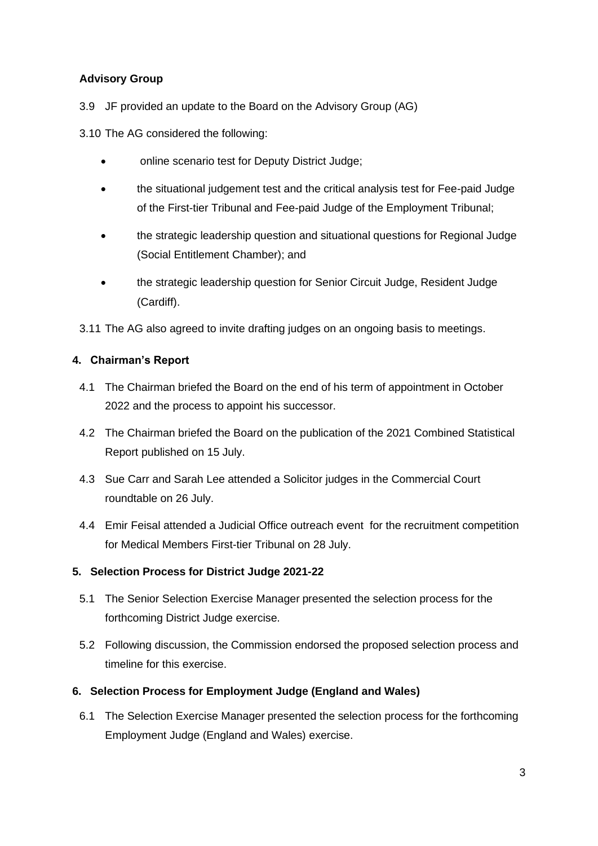## **Advisory Group**

3.9 JF provided an update to the Board on the Advisory Group (AG)

3.10 The AG considered the following:

- online scenario test for Deputy District Judge;
- the situational judgement test and the critical analysis test for Fee-paid Judge of the First-tier Tribunal and Fee-paid Judge of the Employment Tribunal;
- the strategic leadership question and situational questions for Regional Judge (Social Entitlement Chamber); and
- the strategic leadership question for Senior Circuit Judge, Resident Judge (Cardiff).
- 3.11 The AG also agreed to invite drafting judges on an ongoing basis to meetings.

## **4. Chairman's Report**

- 4.1 The Chairman briefed the Board on the end of his term of appointment in October 2022 and the process to appoint his successor.
- 4.2 The Chairman briefed the Board on the publication of the 2021 Combined Statistical Report published on 15 July.
- 4.3 Sue Carr and Sarah Lee attended a Solicitor judges in the Commercial Court roundtable on 26 July.
- 4.4 Emir Feisal attended a Judicial Office outreach event for the recruitment competition for Medical Members First-tier Tribunal on 28 July.

## **5. Selection Process for District Judge 2021-22**

- 5.1 The Senior Selection Exercise Manager presented the selection process for the forthcoming District Judge exercise.
- 5.2 Following discussion, the Commission endorsed the proposed selection process and timeline for this exercise.

## **6. Selection Process for Employment Judge (England and Wales)**

6.1 The Selection Exercise Manager presented the selection process for the forthcoming Employment Judge (England and Wales) exercise.